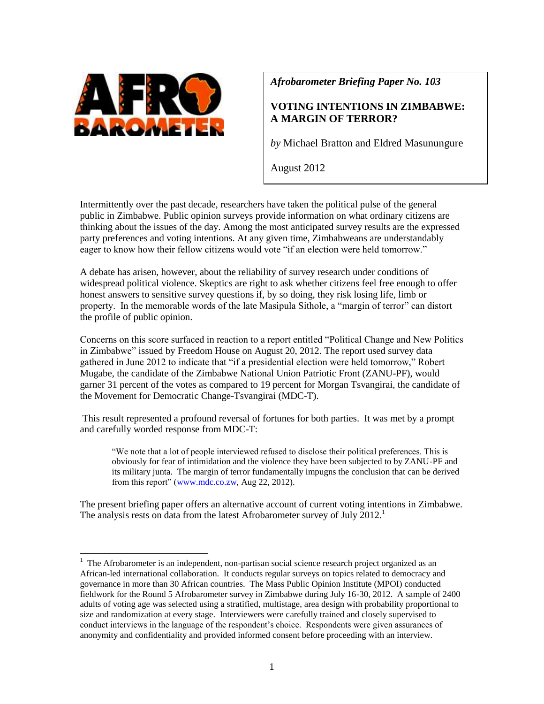

l

*Afrobarometer Briefing Paper No. 103*

# **VOTING INTENTIONS IN ZIMBABWE: A MARGIN OF TERROR?**

*by* Michael Bratton and Eldred Masunungure

August 2012

Intermittently over the past decade, researchers have taken the political pulse of the general public in Zimbabwe. Public opinion surveys provide information on what ordinary citizens are thinking about the issues of the day. Among the most anticipated survey results are the expressed party preferences and voting intentions. At any given time, Zimbabweans are understandably eager to know how their fellow citizens would vote "if an election were held tomorrow."

A debate has arisen, however, about the reliability of survey research under conditions of widespread political violence. Skeptics are right to ask whether citizens feel free enough to offer honest answers to sensitive survey questions if, by so doing, they risk losing life, limb or property. In the memorable words of the late Masipula Sithole, a "margin of terror" can distort the profile of public opinion.

Concerns on this score surfaced in reaction to a report entitled "Political Change and New Politics in Zimbabwe" issued by Freedom House on August 20, 2012. The report used survey data gathered in June 2012 to indicate that "if a presidential election were held tomorrow," Robert Mugabe, the candidate of the Zimbabwe National Union Patriotic Front (ZANU-PF), would garner 31 percent of the votes as compared to 19 percent for Morgan Tsvangirai, the candidate of the Movement for Democratic Change-Tsvangirai (MDC-T).

This result represented a profound reversal of fortunes for both parties. It was met by a prompt and carefully worded response from MDC-T:

"We note that a lot of people interviewed refused to disclose their political preferences. This is obviously for fear of intimidation and the violence they have been subjected to by ZANU-PF and its military junta. The margin of terror fundamentally impugns the conclusion that can be derived from this report" [\(www.mdc.co.zw,](http://www.mdc.co.zw/) Aug 22, 2012).

The present briefing paper offers an alternative account of current voting intentions in Zimbabwe. The analysis rests on data from the latest Afrobarometer survey of July 2012.<sup>1</sup>

<sup>&</sup>lt;sup>1</sup> The Afrobarometer is an independent, non-partisan social science research project organized as an African-led international collaboration. It conducts regular surveys on topics related to democracy and governance in more than 30 African countries. The Mass Public Opinion Institute (MPOI) conducted fieldwork for the Round 5 Afrobarometer survey in Zimbabwe during July 16-30, 2012. A sample of 2400 adults of voting age was selected using a stratified, multistage, area design with probability proportional to size and randomization at every stage. Interviewers were carefully trained and closely supervised to conduct interviews in the language of the respondent's choice. Respondents were given assurances of anonymity and confidentiality and provided informed consent before proceeding with an interview.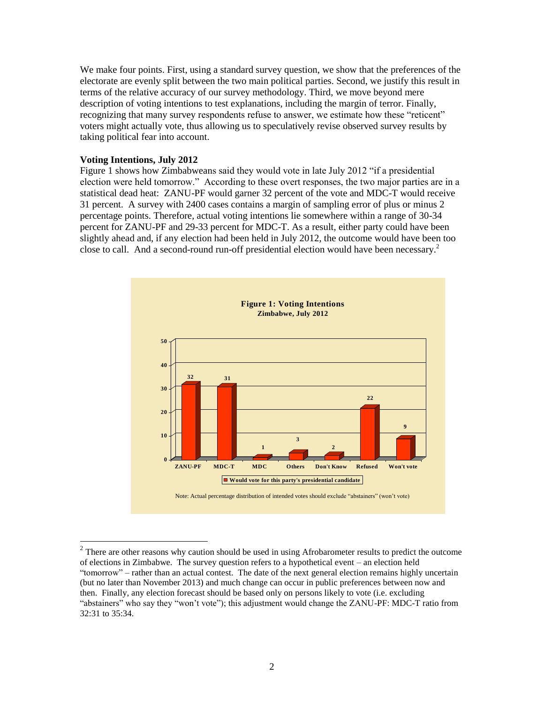We make four points. First, using a standard survey question, we show that the preferences of the electorate are evenly split between the two main political parties. Second, we justify this result in terms of the relative accuracy of our survey methodology. Third, we move beyond mere description of voting intentions to test explanations, including the margin of terror. Finally, recognizing that many survey respondents refuse to answer, we estimate how these "reticent" voters might actually vote, thus allowing us to speculatively revise observed survey results by taking political fear into account.

#### **Voting Intentions, July 2012**

l

Figure 1 shows how Zimbabweans said they would vote in late July 2012 "if a presidential election were held tomorrow." According to these overt responses, the two major parties are in a statistical dead heat: ZANU-PF would garner 32 percent of the vote and MDC-T would receive 31 percent. A survey with 2400 cases contains a margin of sampling error of plus or minus 2 percentage points. Therefore, actual voting intentions lie somewhere within a range of 30-34 percent for ZANU-PF and 29-33 percent for MDC-T. As a result, either party could have been slightly ahead and, if any election had been held in July 2012, the outcome would have been too close to call. And a second-round run-off presidential election would have been necessary. $^2$ 



 $2<sup>2</sup>$  There are other reasons why caution should be used in using Afrobarometer results to predict the outcome of elections in Zimbabwe. The survey question refers to a hypothetical event – an election held "tomorrow" – rather than an actual contest. The date of the next general election remains highly uncertain (but no later than November 2013) and much change can occur in public preferences between now and then. Finally, any election forecast should be based only on persons likely to vote (i.e. excluding "abstainers" who say they "won't vote"); this adjustment would change the ZANU-PF: MDC-T ratio from 32:31 to 35:34.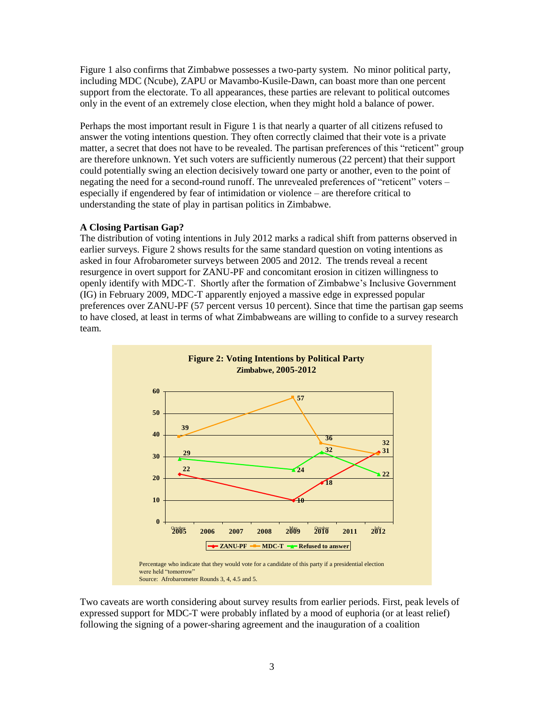Figure 1 also confirms that Zimbabwe possesses a two-party system. No minor political party, including MDC (Ncube), ZAPU or Mavambo-Kusile-Dawn, can boast more than one percent support from the electorate. To all appearances, these parties are relevant to political outcomes only in the event of an extremely close election, when they might hold a balance of power.

Perhaps the most important result in Figure 1 is that nearly a quarter of all citizens refused to answer the voting intentions question. They often correctly claimed that their vote is a private matter, a secret that does not have to be revealed. The partisan preferences of this "reticent" group are therefore unknown. Yet such voters are sufficiently numerous (22 percent) that their support could potentially swing an election decisively toward one party or another, even to the point of negating the need for a second-round runoff. The unrevealed preferences of "reticent" voters – especially if engendered by fear of intimidation or violence – are therefore critical to understanding the state of play in partisan politics in Zimbabwe.

## **A Closing Partisan Gap?**

The distribution of voting intentions in July 2012 marks a radical shift from patterns observed in earlier surveys. Figure 2 shows results for the same standard question on voting intentions as asked in four Afrobarometer surveys between 2005 and 2012. The trends reveal a recent resurgence in overt support for ZANU-PF and concomitant erosion in citizen willingness to openly identify with MDC-T. Shortly after the formation of Zimbabwe's Inclusive Government (IG) in February 2009, MDC-T apparently enjoyed a massive edge in expressed popular preferences over ZANU-PF (57 percent versus 10 percent). Since that time the partisan gap seems to have closed, at least in terms of what Zimbabweans are willing to confide to a survey research team.



Two caveats are worth considering about survey results from earlier periods. First, peak levels of expressed support for MDC-T were probably inflated by a mood of euphoria (or at least relief) following the signing of a power-sharing agreement and the inauguration of a coalition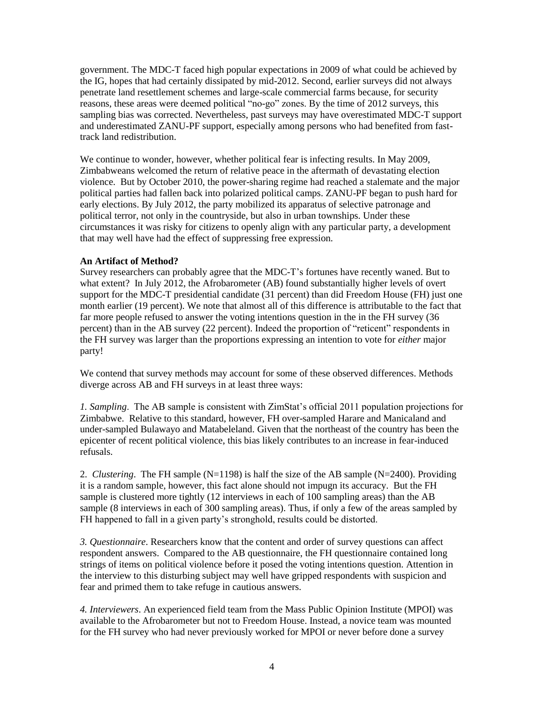government. The MDC-T faced high popular expectations in 2009 of what could be achieved by the IG, hopes that had certainly dissipated by mid-2012. Second, earlier surveys did not always penetrate land resettlement schemes and large-scale commercial farms because, for security reasons, these areas were deemed political "no-go" zones. By the time of 2012 surveys, this sampling bias was corrected. Nevertheless, past surveys may have overestimated MDC-T support and underestimated ZANU-PF support, especially among persons who had benefited from fasttrack land redistribution.

We continue to wonder, however, whether political fear is infecting results. In May 2009, Zimbabweans welcomed the return of relative peace in the aftermath of devastating election violence. But by October 2010, the power-sharing regime had reached a stalemate and the major political parties had fallen back into polarized political camps. ZANU-PF began to push hard for early elections. By July 2012, the party mobilized its apparatus of selective patronage and political terror, not only in the countryside, but also in urban townships. Under these circumstances it was risky for citizens to openly align with any particular party, a development that may well have had the effect of suppressing free expression.

## **An Artifact of Method?**

Survey researchers can probably agree that the MDC-T's fortunes have recently waned. But to what extent? In July 2012, the Afrobarometer (AB) found substantially higher levels of overt support for the MDC-T presidential candidate (31 percent) than did Freedom House (FH) just one month earlier (19 percent). We note that almost all of this difference is attributable to the fact that far more people refused to answer the voting intentions question in the in the FH survey (36 percent) than in the AB survey (22 percent). Indeed the proportion of "reticent" respondents in the FH survey was larger than the proportions expressing an intention to vote for *either* major party!

We contend that survey methods may account for some of these observed differences. Methods diverge across AB and FH surveys in at least three ways:

*1. Sampling*. The AB sample is consistent with ZimStat's official 2011 population projections for Zimbabwe. Relative to this standard, however, FH over-sampled Harare and Manicaland and under-sampled Bulawayo and Matabeleland. Given that the northeast of the country has been the epicenter of recent political violence, this bias likely contributes to an increase in fear-induced refusals.

2. *Clustering*. The FH sample  $(N=1198)$  is half the size of the AB sample  $(N=2400)$ . Providing it is a random sample, however, this fact alone should not impugn its accuracy. But the FH sample is clustered more tightly (12 interviews in each of 100 sampling areas) than the AB sample (8 interviews in each of 300 sampling areas). Thus, if only a few of the areas sampled by FH happened to fall in a given party's stronghold, results could be distorted.

*3. Questionnaire*. Researchers know that the content and order of survey questions can affect respondent answers. Compared to the AB questionnaire, the FH questionnaire contained long strings of items on political violence before it posed the voting intentions question. Attention in the interview to this disturbing subject may well have gripped respondents with suspicion and fear and primed them to take refuge in cautious answers.

*4. Interviewers*. An experienced field team from the Mass Public Opinion Institute (MPOI) was available to the Afrobarometer but not to Freedom House. Instead, a novice team was mounted for the FH survey who had never previously worked for MPOI or never before done a survey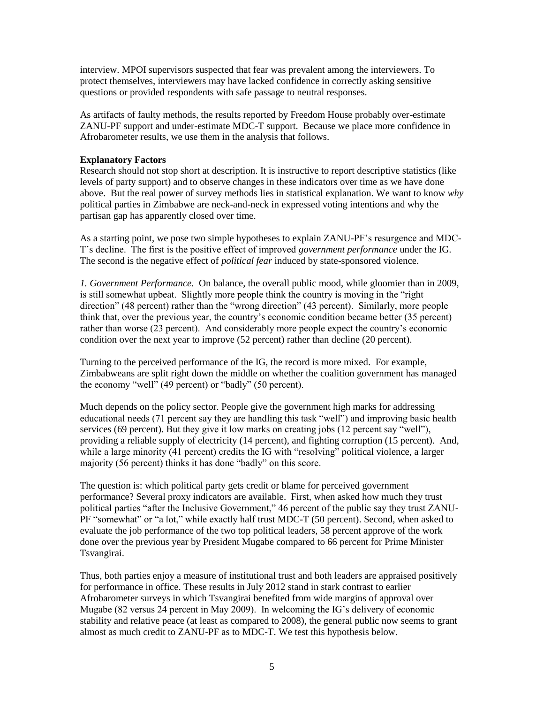interview. MPOI supervisors suspected that fear was prevalent among the interviewers. To protect themselves, interviewers may have lacked confidence in correctly asking sensitive questions or provided respondents with safe passage to neutral responses.

As artifacts of faulty methods, the results reported by Freedom House probably over-estimate ZANU-PF support and under-estimate MDC-T support. Because we place more confidence in Afrobarometer results, we use them in the analysis that follows.

## **Explanatory Factors**

Research should not stop short at description. It is instructive to report descriptive statistics (like levels of party support) and to observe changes in these indicators over time as we have done above. But the real power of survey methods lies in statistical explanation. We want to know *why* political parties in Zimbabwe are neck-and-neck in expressed voting intentions and why the partisan gap has apparently closed over time.

As a starting point, we pose two simple hypotheses to explain ZANU-PF's resurgence and MDC-T's decline. The first is the positive effect of improved *government performance* under the IG. The second is the negative effect of *political fear* induced by state-sponsored violence.

*1. Government Performance.* On balance, the overall public mood, while gloomier than in 2009, is still somewhat upbeat. Slightly more people think the country is moving in the "right direction" (48 percent) rather than the "wrong direction" (43 percent). Similarly, more people think that, over the previous year, the country's economic condition became better (35 percent) rather than worse (23 percent). And considerably more people expect the country's economic condition over the next year to improve (52 percent) rather than decline (20 percent).

Turning to the perceived performance of the IG, the record is more mixed. For example, Zimbabweans are split right down the middle on whether the coalition government has managed the economy "well" (49 percent) or "badly" (50 percent).

Much depends on the policy sector. People give the government high marks for addressing educational needs (71 percent say they are handling this task "well") and improving basic health services (69 percent). But they give it low marks on creating jobs (12 percent say "well"), providing a reliable supply of electricity (14 percent), and fighting corruption (15 percent). And, while a large minority (41 percent) credits the IG with "resolving" political violence, a larger majority (56 percent) thinks it has done "badly" on this score.

The question is: which political party gets credit or blame for perceived government performance? Several proxy indicators are available. First, when asked how much they trust political parties "after the Inclusive Government," 46 percent of the public say they trust ZANU-PF "somewhat" or "a lot," while exactly half trust MDC-T (50 percent). Second, when asked to evaluate the job performance of the two top political leaders, 58 percent approve of the work done over the previous year by President Mugabe compared to 66 percent for Prime Minister Tsvangirai.

Thus, both parties enjoy a measure of institutional trust and both leaders are appraised positively for performance in office. These results in July 2012 stand in stark contrast to earlier Afrobarometer surveys in which Tsvangirai benefited from wide margins of approval over Mugabe (82 versus 24 percent in May 2009). In welcoming the IG's delivery of economic stability and relative peace (at least as compared to 2008), the general public now seems to grant almost as much credit to ZANU-PF as to MDC-T. We test this hypothesis below.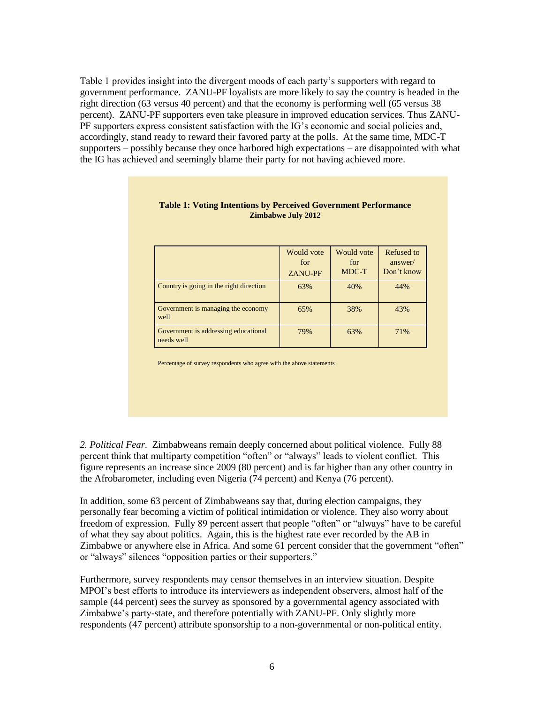Table 1 provides insight into the divergent moods of each party's supporters with regard to government performance. ZANU-PF loyalists are more likely to say the country is headed in the right direction (63 versus 40 percent) and that the economy is performing well (65 versus 38 percent). ZANU-PF supporters even take pleasure in improved education services. Thus ZANU-PF supporters express consistent satisfaction with the IG's economic and social policies and, accordingly, stand ready to reward their favored party at the polls. At the same time, MDC-T supporters – possibly because they once harbored high expectations – are disappointed with what the IG has achieved and seemingly blame their party for not having achieved more.

|                                                    | Would vote<br>for<br><b>ZANU-PF</b> | Would vote<br>for<br>MDC-T | Refused to<br>answer/<br>Don't know |
|----------------------------------------------------|-------------------------------------|----------------------------|-------------------------------------|
| Country is going in the right direction            | 63%                                 | 40%                        | 44%                                 |
| Government is managing the economy<br>well         | 65%                                 | 38%                        | 43%                                 |
| Government is addressing educational<br>needs well | 79%                                 | 63%                        | 71%                                 |

#### **Table 1: Voting Intentions by Perceived Government Performance Zimbabwe July 2012**

Percentage of survey respondents who agree with the above statements

*2. Political Fear*. Zimbabweans remain deeply concerned about political violence. Fully 88 percent think that multiparty competition "often" or "always" leads to violent conflict. This figure represents an increase since 2009 (80 percent) and is far higher than any other country in the Afrobarometer, including even Nigeria (74 percent) and Kenya (76 percent).

In addition, some 63 percent of Zimbabweans say that, during election campaigns, they personally fear becoming a victim of political intimidation or violence. They also worry about freedom of expression. Fully 89 percent assert that people "often" or "always" have to be careful of what they say about politics. Again, this is the highest rate ever recorded by the AB in Zimbabwe or anywhere else in Africa. And some 61 percent consider that the government "often" or "always" silences "opposition parties or their supporters."

Furthermore, survey respondents may censor themselves in an interview situation. Despite MPOI's best efforts to introduce its interviewers as independent observers, almost half of the sample (44 percent) sees the survey as sponsored by a governmental agency associated with Zimbabwe's party-state, and therefore potentially with ZANU-PF. Only slightly more respondents (47 percent) attribute sponsorship to a non-governmental or non-political entity.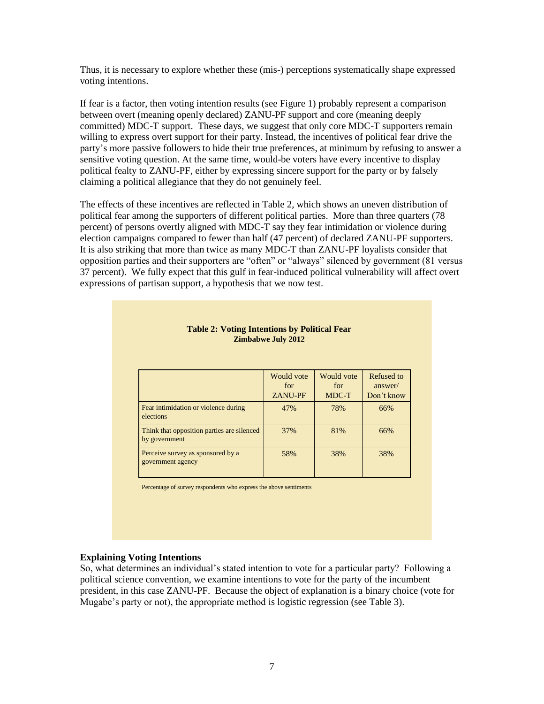Thus, it is necessary to explore whether these (mis-) perceptions systematically shape expressed voting intentions.

If fear is a factor, then voting intention results (see Figure 1) probably represent a comparison between overt (meaning openly declared) ZANU-PF support and core (meaning deeply committed) MDC-T support. These days, we suggest that only core MDC-T supporters remain willing to express overt support for their party. Instead, the incentives of political fear drive the party's more passive followers to hide their true preferences, at minimum by refusing to answer a sensitive voting question. At the same time, would-be voters have every incentive to display political fealty to ZANU-PF, either by expressing sincere support for the party or by falsely claiming a political allegiance that they do not genuinely feel.

The effects of these incentives are reflected in Table 2, which shows an uneven distribution of political fear among the supporters of different political parties. More than three quarters (78 percent) of persons overtly aligned with MDC-T say they fear intimidation or violence during election campaigns compared to fewer than half (47 percent) of declared ZANU-PF supporters. It is also striking that more than twice as many MDC-T than ZANU-PF loyalists consider that opposition parties and their supporters are "often" or "always" silenced by government (81 versus 37 percent). We fully expect that this gulf in fear-induced political vulnerability will affect overt expressions of partisan support, a hypothesis that we now test.

| <b>Table 2: Voting Intentions by Political Fear</b><br><b>Zimbabwe July 2012</b> |                              |                            |                                     |
|----------------------------------------------------------------------------------|------------------------------|----------------------------|-------------------------------------|
|                                                                                  | Would vote<br>for<br>ZANU-PF | Would vote<br>for<br>MDC-T | Refused to<br>answer/<br>Don't know |
| Fear intimidation or violence during<br>elections                                | 47%                          | 78%                        | 66%                                 |
| Think that opposition parties are silenced<br>by government                      | 37%                          | 81%                        | 66%                                 |
| Perceive survey as sponsored by a<br>government agency                           | 58%                          | 38%                        | 38%                                 |

Percentage of survey respondents who express the above sentiments

#### **Explaining Voting Intentions**

So, what determines an individual's stated intention to vote for a particular party? Following a political science convention, we examine intentions to vote for the party of the incumbent president, in this case ZANU-PF. Because the object of explanation is a binary choice (vote for Mugabe's party or not), the appropriate method is logistic regression (see Table 3).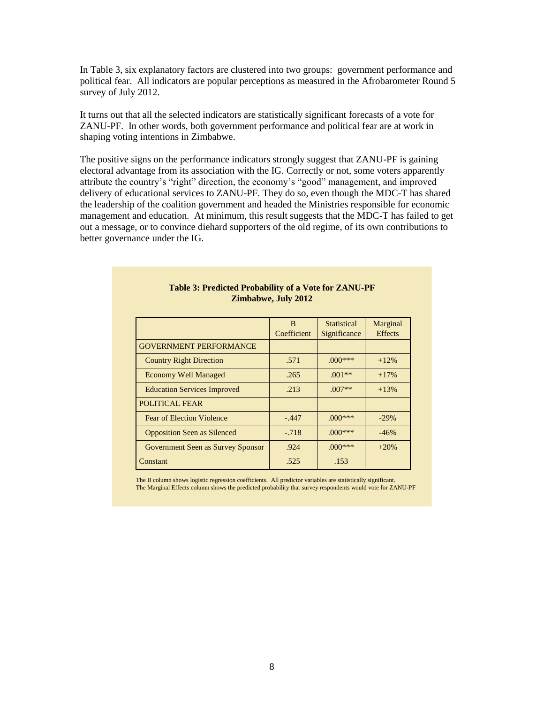In Table 3, six explanatory factors are clustered into two groups: government performance and political fear. All indicators are popular perceptions as measured in the Afrobarometer Round 5 survey of July 2012.

It turns out that all the selected indicators are statistically significant forecasts of a vote for ZANU-PF. In other words, both government performance and political fear are at work in shaping voting intentions in Zimbabwe.

The positive signs on the performance indicators strongly suggest that ZANU-PF is gaining electoral advantage from its association with the IG. Correctly or not, some voters apparently attribute the country's "right" direction, the economy's "good" management, and improved delivery of educational services to ZANU-PF. They do so, even though the MDC-T has shared the leadership of the coalition government and headed the Ministries responsible for economic management and education. At minimum, this result suggests that the MDC-T has failed to get out a message, or to convince diehard supporters of the old regime, of its own contributions to better governance under the IG.

|                                    | B<br>Coefficient | <b>Statistical</b><br>Significance | Marginal<br><b>Effects</b> |
|------------------------------------|------------------|------------------------------------|----------------------------|
| <b>GOVERNMENT PERFORMANCE</b>      |                  |                                    |                            |
| <b>Country Right Direction</b>     | .571             | $.000***$                          | $+12%$                     |
| <b>Economy Well Managed</b>        | .265             | $.001**$                           | $+17%$                     |
| <b>Education Services Improved</b> | .213             | $.007**$                           | $+13%$                     |
| <b>POLITICAL FEAR</b>              |                  |                                    |                            |
| <b>Fear of Election Violence</b>   | $-.447$          | $.000***$                          | $-29%$                     |
| <b>Opposition Seen as Silenced</b> | $-.718$          | $.000***$                          | $-46%$                     |
| Government Seen as Survey Sponsor  | .924             | $.000***$                          | $+20%$                     |
| Constant                           | .525             | .153                               |                            |

#### **Table 3: Predicted Probability of a Vote for ZANU-PF Zimbabwe, July 2012**

The B column shows logistic regression coefficients. All predictor variables are statistically significant. The Marginal Effects column shows the predicted probability that survey respondents would vote for ZANU-PF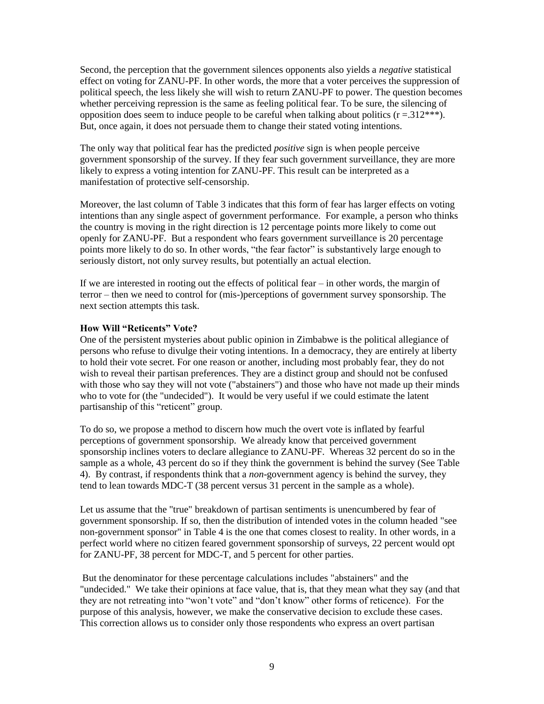Second, the perception that the government silences opponents also yields a *negative* statistical effect on voting for ZANU-PF. In other words, the more that a voter perceives the suppression of political speech, the less likely she will wish to return ZANU-PF to power. The question becomes whether perceiving repression is the same as feeling political fear. To be sure, the silencing of opposition does seem to induce people to be careful when talking about politics  $(r = .312***).$ But, once again, it does not persuade them to change their stated voting intentions.

The only way that political fear has the predicted *positive* sign is when people perceive government sponsorship of the survey. If they fear such government surveillance, they are more likely to express a voting intention for ZANU-PF. This result can be interpreted as a manifestation of protective self-censorship.

Moreover, the last column of Table 3 indicates that this form of fear has larger effects on voting intentions than any single aspect of government performance. For example, a person who thinks the country is moving in the right direction is 12 percentage points more likely to come out openly for ZANU-PF. But a respondent who fears government surveillance is 20 percentage points more likely to do so. In other words, "the fear factor" is substantively large enough to seriously distort, not only survey results, but potentially an actual election.

If we are interested in rooting out the effects of political fear – in other words, the margin of terror – then we need to control for (mis-)perceptions of government survey sponsorship. The next section attempts this task.

## **How Will "Reticents" Vote?**

One of the persistent mysteries about public opinion in Zimbabwe is the political allegiance of persons who refuse to divulge their voting intentions. In a democracy, they are entirely at liberty to hold their vote secret. For one reason or another, including most probably fear, they do not wish to reveal their partisan preferences. They are a distinct group and should not be confused with those who say they will not vote ("abstainers") and those who have not made up their minds who to vote for (the "undecided"). It would be very useful if we could estimate the latent partisanship of this "reticent" group.

To do so, we propose a method to discern how much the overt vote is inflated by fearful perceptions of government sponsorship. We already know that perceived government sponsorship inclines voters to declare allegiance to ZANU-PF. Whereas 32 percent do so in the sample as a whole, 43 percent do so if they think the government is behind the survey (See Table 4). By contrast, if respondents think that a *non*-government agency is behind the survey, they tend to lean towards MDC-T (38 percent versus 31 percent in the sample as a whole).

Let us assume that the "true" breakdown of partisan sentiments is unencumbered by fear of government sponsorship. If so, then the distribution of intended votes in the column headed "see non-government sponsor" in Table 4 is the one that comes closest to reality. In other words, in a perfect world where no citizen feared government sponsorship of surveys, 22 percent would opt for ZANU-PF, 38 percent for MDC-T, and 5 percent for other parties.

But the denominator for these percentage calculations includes "abstainers" and the "undecided." We take their opinions at face value, that is, that they mean what they say (and that they are not retreating into "won't vote" and "don't know" other forms of reticence). For the purpose of this analysis, however, we make the conservative decision to exclude these cases. This correction allows us to consider only those respondents who express an overt partisan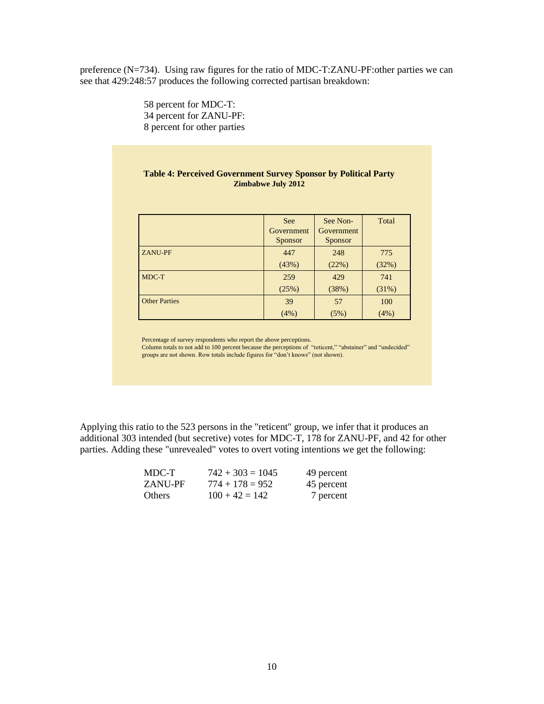preference (N=734). Using raw figures for the ratio of MDC-T:ZANU-PF:other parties we can see that 429:248:57 produces the following corrected partisan breakdown:

> 58 percent for MDC-T: 34 percent for ZANU-PF: 8 percent for other parties

#### **Table 4: Perceived Government Survey Sponsor by Political Party Zimbabwe July 2012**

|                      | <b>See</b> | See Non-          | Total |
|----------------------|------------|-------------------|-------|
|                      | Government | <b>Government</b> |       |
|                      | Sponsor    | Sponsor           |       |
| <b>ZANU-PF</b>       | 447        | 248               | 775   |
|                      | (43%)      | (22%)             | (32%) |
| MDC-T                | 259        | 429               | 741   |
|                      | (25%)      | (38%)             | (31%) |
| <b>Other Parties</b> | 39         | 57                | 100   |
|                      | (4%)       | (5%)              | (4%)  |

Percentage of survey respondents who report the above perceptions.

Column totals to not add to 100 percent because the perceptions of "reticent," "abstainer" and "undecided" groups are not shown. Row totals include figures for "don't knows" (not shown).

Applying this ratio to the 523 persons in the "reticent" group, we infer that it produces an additional 303 intended (but secretive) votes for MDC-T, 178 for ZANU-PF, and 42 for other parties. Adding these "unrevealed" votes to overt voting intentions we get the following:

| MDC-T          | $742 + 303 = 1045$ | 49 percent |
|----------------|--------------------|------------|
| <b>ZANU-PF</b> | $774 + 178 = 952$  | 45 percent |
| <b>Others</b>  | $100 + 42 = 142$   | 7 percent  |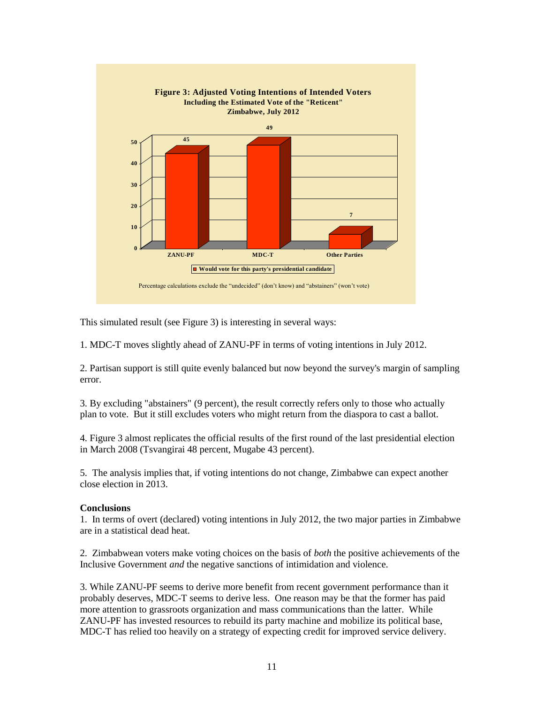

This simulated result (see Figure 3) is interesting in several ways:

1. MDC-T moves slightly ahead of ZANU-PF in terms of voting intentions in July 2012.

2. Partisan support is still quite evenly balanced but now beyond the survey's margin of sampling error.

3. By excluding "abstainers" (9 percent), the result correctly refers only to those who actually plan to vote. But it still excludes voters who might return from the diaspora to cast a ballot.

4. Figure 3 almost replicates the official results of the first round of the last presidential election in March 2008 (Tsvangirai 48 percent, Mugabe 43 percent).

5. The analysis implies that, if voting intentions do not change, Zimbabwe can expect another close election in 2013.

## **Conclusions**

1. In terms of overt (declared) voting intentions in July 2012, the two major parties in Zimbabwe are in a statistical dead heat.

2. Zimbabwean voters make voting choices on the basis of *both* the positive achievements of the Inclusive Government *and* the negative sanctions of intimidation and violence.

3. While ZANU-PF seems to derive more benefit from recent government performance than it probably deserves, MDC-T seems to derive less. One reason may be that the former has paid more attention to grassroots organization and mass communications than the latter. While ZANU-PF has invested resources to rebuild its party machine and mobilize its political base, MDC-T has relied too heavily on a strategy of expecting credit for improved service delivery.